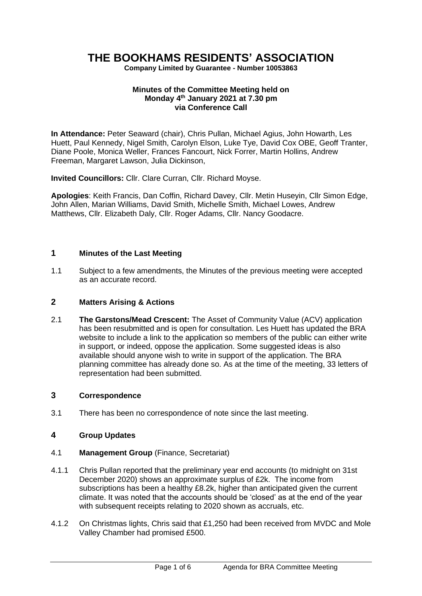# **THE BOOKHAMS RESIDENTS' ASSOCIATION**

**Company Limited by Guarantee - Number 10053863**

#### **Minutes of the Committee Meeting held on Monday 4 th January 2021 at 7.30 pm via Conference Call**

**In Attendance:** Peter Seaward (chair), Chris Pullan, Michael Agius, John Howarth, Les Huett, Paul Kennedy, Nigel Smith, Carolyn Elson, Luke Tye, David Cox OBE, Geoff Tranter, Diane Poole, Monica Weller, Frances Fancourt, Nick Forrer, Martin Hollins, Andrew Freeman, Margaret Lawson, Julia Dickinson,

**Invited Councillors:** Cllr. Clare Curran, Cllr. Richard Moyse.

**Apologies**: Keith Francis, Dan Coffin, Richard Davey, Cllr. Metin Huseyin, Cllr Simon Edge, John Allen, Marian Williams, David Smith, Michelle Smith, Michael Lowes, Andrew Matthews, Cllr. Elizabeth Daly, Cllr. Roger Adams, Cllr. Nancy Goodacre.

# **1 Minutes of the Last Meeting**

1.1 Subject to a few amendments, the Minutes of the previous meeting were accepted as an accurate record.

# **2 Matters Arising & Actions**

2.1 **The Garstons/Mead Crescent:** The Asset of Community Value (ACV) application has been resubmitted and is open for consultation. Les Huett has updated the BRA website to include a link to the application so members of the public can either write in support, or indeed, oppose the application. Some suggested ideas is also available should anyone wish to write in support of the application. The BRA planning committee has already done so. As at the time of the meeting, 33 letters of representation had been submitted.

# **3 Correspondence**

3.1 There has been no correspondence of note since the last meeting.

#### **4 Group Updates**

- 4.1 **Management Group** (Finance, Secretariat)
- 4.1.1 Chris Pullan reported that the preliminary year end accounts (to midnight on 31st December 2020) shows an approximate surplus of £2k. The income from subscriptions has been a healthy £8.2k, higher than anticipated given the current climate. It was noted that the accounts should be 'closed' as at the end of the year with subsequent receipts relating to 2020 shown as accruals, etc.
- 4.1.2 On Christmas lights, Chris said that £1,250 had been received from MVDC and Mole Valley Chamber had promised £500.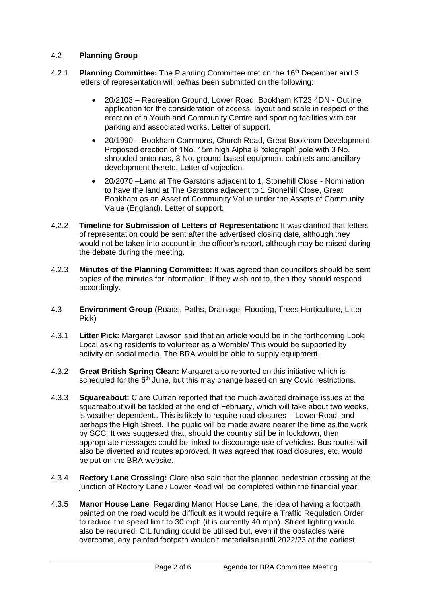# 4.2 **Planning Group**

- 4.2.1 **Planning Committee:** The Planning Committee met on the 16th December and 3 letters of representation will be/has been submitted on the following:
	- 20/2103 Recreation Ground, Lower Road, Bookham KT23 4DN Outline application for the consideration of access, layout and scale in respect of the erection of a Youth and Community Centre and sporting facilities with car parking and associated works. Letter of support.
	- 20/1990 Bookham Commons, Church Road, Great Bookham Development Proposed erection of 1No. 15m high Alpha 8 'telegraph' pole with 3 No. shrouded antennas, 3 No. ground-based equipment cabinets and ancillary development thereto. Letter of objection.
	- 20/2070 –Land at The Garstons adjacent to 1, Stonehill Close Nomination to have the land at The Garstons adjacent to 1 Stonehill Close, Great Bookham as an Asset of Community Value under the Assets of Community Value (England). Letter of support.
- 4.2.2 **Timeline for Submission of Letters of Representation:** It was clarified that letters of representation could be sent after the advertised closing date, although they would not be taken into account in the officer's report, although may be raised during the debate during the meeting.
- 4.2.3 **Minutes of the Planning Committee:** It was agreed than councillors should be sent copies of the minutes for information. If they wish not to, then they should respond accordingly.
- 4.3 **Environment Group** (Roads, Paths, Drainage, Flooding, Trees Horticulture, Litter Pick)
- 4.3.1 **Litter Pick:** Margaret Lawson said that an article would be in the forthcoming Look Local asking residents to volunteer as a Womble/ This would be supported by activity on social media. The BRA would be able to supply equipment.
- 4.3.2 **Great British Spring Clean:** Margaret also reported on this initiative which is scheduled for the  $6<sup>th</sup>$  June, but this may change based on any Covid restrictions.
- 4.3.3 **Squareabout:** Clare Curran reported that the much awaited drainage issues at the squareabout will be tackled at the end of February, which will take about two weeks, is weather dependent.. This is likely to require road closures – Lower Road, and perhaps the High Street. The public will be made aware nearer the time as the work by SCC. It was suggested that, should the country still be in lockdown, then appropriate messages could be linked to discourage use of vehicles. Bus routes will also be diverted and routes approved. It was agreed that road closures, etc. would be put on the BRA website.
- 4.3.4 **Rectory Lane Crossing:** Clare also said that the planned pedestrian crossing at the junction of Rectory Lane / Lower Road will be completed within the financial year.
- 4.3.5 **Manor House Lane**: Regarding Manor House Lane, the idea of having a footpath painted on the road would be difficult as it would require a Traffic Regulation Order to reduce the speed limit to 30 mph (it is currently 40 mph). Street lighting would also be required. CIL funding could be utilised but, even if the obstacles were overcome, any painted footpath wouldn't materialise until 2022/23 at the earliest.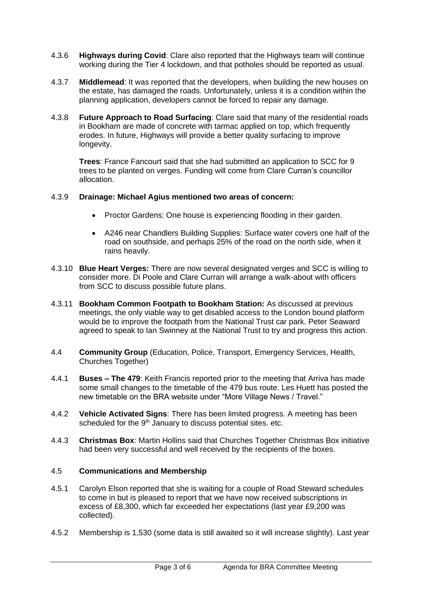- 4.3.6 **Highways during Covid**: Clare also reported that the Highways team will continue working during the Tier 4 lockdown, and that potholes should be reported as usual.
- 4.3.7 **Middlemead**: It was reported that the developers, when building the new houses on the estate, has damaged the roads. Unfortunately, unless it is a condition within the planning application, developers cannot be forced to repair any damage.
- 4.3.8 **Future Approach to Road Surfacing**: Clare said that many of the residential roads in Bookham are made of concrete with tarmac applied on top, which frequently erodes. In future, Highways will provide a better quality surfacing to improve longevity.

**Trees**: France Fancourt said that she had submitted an application to SCC for 9 trees to be planted on verges. Funding will come from Clare Curran's councillor allocation.

#### 4.3.9 **Drainage: Michael Agius mentioned two areas of concern:**

- Proctor Gardens: One house is experiencing flooding in their garden.
- A246 near Chandlers Building Supplies: Surface water covers one half of the road on southside, and perhaps 25% of the road on the north side, when it rains heavily.
- 4.3.10 **Blue Heart Verges:** There are now several designated verges and SCC is willing to consider more. Di Poole and Clare Curran will arrange a walk-about with officers from SCC to discuss possible future plans.
- 4.3.11 **Bookham Common Footpath to Bookham Station:** As discussed at previous meetings, the only viable way to get disabled access to the London bound platform would be to improve the footpath from the National Trust car park. Peter Seaward agreed to speak to Ian Swinney at the National Trust to try and progress this action.
- 4.4 **Community Group** (Education, Police, Transport, Emergency Services, Health, Churches Together)
- 4.4.1 **Buses – The 479**: Keith Francis reported prior to the meeting that Arriva has made some small changes to the timetable of the 479 bus route. Les Huett has posted the new timetable on the BRA website under "More Village News / Travel."
- 4.4.2 **Vehicle Activated Signs**: There has been limited progress. A meeting has been scheduled for the  $9<sup>th</sup>$  January to discuss potential sites. etc.
- 4.4.3 **Christmas Box**: Martin Hollins said that Churches Together Christmas Box initiative had been very successful and well received by the recipients of the boxes.

#### 4.5 **Communications and Membership**

- 4.5.1 Carolyn Elson reported that she is waiting for a couple of Road Steward schedules to come in but is pleased to report that we have now received subscriptions in excess of £8,300, which far exceeded her expectations (last year £9,200 was collected).
- 4.5.2 Membership is 1,530 (some data is still awaited so it will increase slightly). Last year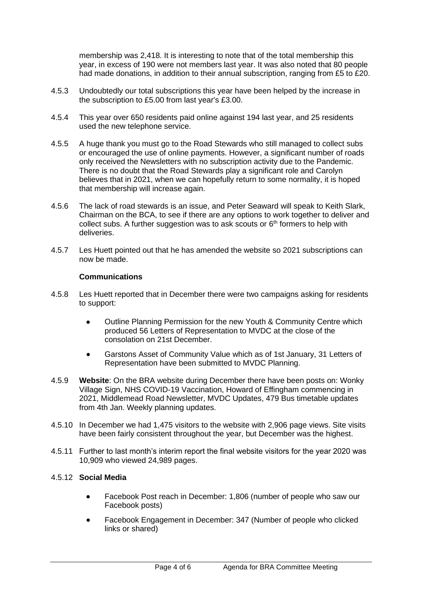membership was 2,418. It is interesting to note that of the total membership this year, in excess of 190 were not members last year. It was also noted that 80 people had made donations, in addition to their annual subscription, ranging from £5 to £20.

- 4.5.3 Undoubtedly our total subscriptions this year have been helped by the increase in the subscription to £5.00 from last year's £3.00.
- 4.5.4 This year over 650 residents paid online against 194 last year, and 25 residents used the new telephone service.
- 4.5.5 A huge thank you must go to the Road Stewards who still managed to collect subs or encouraged the use of online payments. However, a significant number of roads only received the Newsletters with no subscription activity due to the Pandemic. There is no doubt that the Road Stewards play a significant role and Carolyn believes that in 2021, when we can hopefully return to some normality, it is hoped that membership will increase again.
- 4.5.6 The lack of road stewards is an issue, and Peter Seaward will speak to Keith Slark, Chairman on the BCA, to see if there are any options to work together to deliver and collect subs. A further suggestion was to ask scouts or  $6<sup>th</sup>$  formers to help with deliveries.
- 4.5.7 Les Huett pointed out that he has amended the website so 2021 subscriptions can now be made.

#### **Communications**

- 4.5.8 Les Huett reported that in December there were two campaigns asking for residents to support:
	- Outline Planning Permission for the new Youth & Community Centre which produced 56 Letters of Representation to MVDC at the close of the consolation on 21st December.
	- Garstons Asset of Community Value which as of 1st January, 31 Letters of Representation have been submitted to MVDC Planning.
- 4.5.9 **Website**: On the BRA website during December there have been posts on: Wonky Village Sign, NHS COVID-19 Vaccination, Howard of Effingham commencing in 2021, Middlemead Road Newsletter, MVDC Updates, 479 Bus timetable updates from 4th Jan. Weekly planning updates.
- 4.5.10 In December we had 1,475 visitors to the website with 2,906 page views. Site visits have been fairly consistent throughout the year, but December was the highest.
- 4.5.11 Further to last month's interim report the final website visitors for the year 2020 was 10,909 who viewed 24,989 pages.

#### 4.5.12 **Social Media**

- Facebook Post reach in December: 1,806 (number of people who saw our Facebook posts)
- Facebook Engagement in December: 347 (Number of people who clicked links or shared)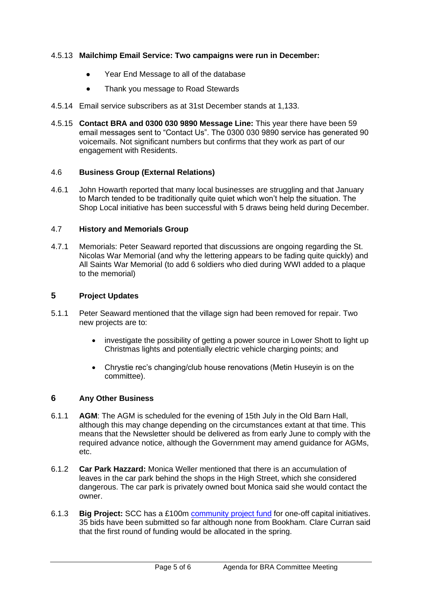# 4.5.13 **Mailchimp Email Service: Two campaigns were run in December:**

- Year End Message to all of the database
- Thank you message to Road Stewards
- 4.5.14 Email service subscribers as at 31st December stands at 1,133.
- 4.5.15 **Contact BRA and 0300 030 9890 Message Line:** This year there have been 59 email messages sent to "Contact Us". The 0300 030 9890 service has generated 90 voicemails. Not significant numbers but confirms that they work as part of our engagement with Residents.

# 4.6 **Business Group (External Relations)**

4.6.1 John Howarth reported that many local businesses are struggling and that January to March tended to be traditionally quite quiet which won't help the situation. The Shop Local initiative has been successful with 5 draws being held during December.

### 4.7 **History and Memorials Group**

4.7.1 Memorials: Peter Seaward reported that discussions are ongoing regarding the St. Nicolas War Memorial (and why the lettering appears to be fading quite quickly) and All Saints War Memorial (to add 6 soldiers who died during WWI added to a plaque to the memorial)

# **5 Project Updates**

- 5.1.1 Peter Seaward mentioned that the village sign had been removed for repair. Two new projects are to:
	- investigate the possibility of getting a power source in Lower Shott to light up Christmas lights and potentially electric vehicle charging points; and
	- Chrystie rec's changing/club house renovations (Metin Huseyin is on the committee).

#### **6 Any Other Business**

- 6.1.1 **AGM**: The AGM is scheduled for the evening of 15th July in the Old Barn Hall, although this may change depending on the circumstances extant at that time. This means that the Newsletter should be delivered as from early June to comply with the required advance notice, although the Government may amend guidance for AGMs, etc.
- 6.1.2 **Car Park Hazzard:** Monica Weller mentioned that there is an accumulation of leaves in the car park behind the shops in the High Street, which she considered dangerous. The car park is privately owned bout Monica said she would contact the owner.
- 6.1.3 **Big Project:** SCC has a £100m [community project fund](https://www.surreycc.gov.uk/people-and-community/voluntary-community-and-faith-sector/funding/community-projects-fund) for one-off capital initiatives. 35 bids have been submitted so far although none from Bookham. Clare Curran said that the first round of funding would be allocated in the spring.